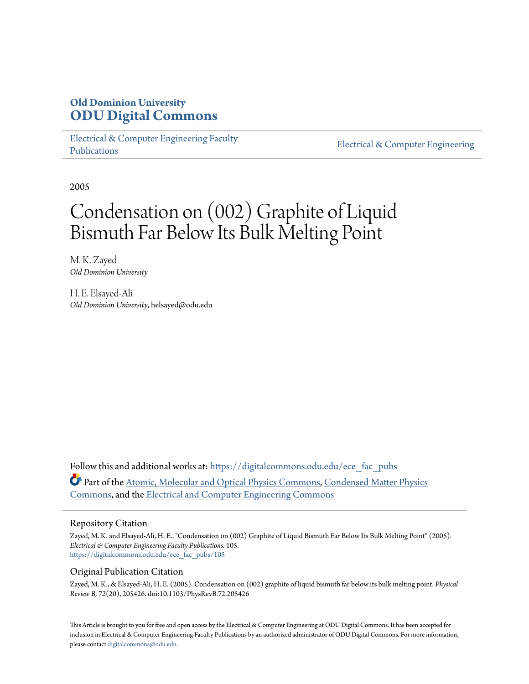# **Old Dominion University [ODU Digital Commons](https://digitalcommons.odu.edu?utm_source=digitalcommons.odu.edu%2Fece_fac_pubs%2F105&utm_medium=PDF&utm_campaign=PDFCoverPages)**

[Electrical & Computer Engineering Faculty](https://digitalcommons.odu.edu/ece_fac_pubs?utm_source=digitalcommons.odu.edu%2Fece_fac_pubs%2F105&utm_medium=PDF&utm_campaign=PDFCoverPages) [Publications](https://digitalcommons.odu.edu/ece_fac_pubs?utm_source=digitalcommons.odu.edu%2Fece_fac_pubs%2F105&utm_medium=PDF&utm_campaign=PDFCoverPages)

[Electrical & Computer Engineering](https://digitalcommons.odu.edu/ece?utm_source=digitalcommons.odu.edu%2Fece_fac_pubs%2F105&utm_medium=PDF&utm_campaign=PDFCoverPages)

2005

# Condensation on (002) Graphite of Liquid Bismuth Far Below Its Bulk Melting Point

M. K. Zayed *Old Dominion University*

H. E. Elsayed-Ali *Old Dominion University*, helsayed@odu.edu

Follow this and additional works at: [https://digitalcommons.odu.edu/ece\\_fac\\_pubs](https://digitalcommons.odu.edu/ece_fac_pubs?utm_source=digitalcommons.odu.edu%2Fece_fac_pubs%2F105&utm_medium=PDF&utm_campaign=PDFCoverPages) Part of the [Atomic, Molecular and Optical Physics Commons,](http://network.bepress.com/hgg/discipline/195?utm_source=digitalcommons.odu.edu%2Fece_fac_pubs%2F105&utm_medium=PDF&utm_campaign=PDFCoverPages) [Condensed Matter Physics](http://network.bepress.com/hgg/discipline/197?utm_source=digitalcommons.odu.edu%2Fece_fac_pubs%2F105&utm_medium=PDF&utm_campaign=PDFCoverPages) [Commons,](http://network.bepress.com/hgg/discipline/197?utm_source=digitalcommons.odu.edu%2Fece_fac_pubs%2F105&utm_medium=PDF&utm_campaign=PDFCoverPages) and the [Electrical and Computer Engineering Commons](http://network.bepress.com/hgg/discipline/266?utm_source=digitalcommons.odu.edu%2Fece_fac_pubs%2F105&utm_medium=PDF&utm_campaign=PDFCoverPages)

# Repository Citation

Zayed, M. K. and Elsayed-Ali, H. E., "Condensation on (002) Graphite of Liquid Bismuth Far Below Its Bulk Melting Point" (2005). *Electrical & Computer Engineering Faculty Publications*. 105. [https://digitalcommons.odu.edu/ece\\_fac\\_pubs/105](https://digitalcommons.odu.edu/ece_fac_pubs/105?utm_source=digitalcommons.odu.edu%2Fece_fac_pubs%2F105&utm_medium=PDF&utm_campaign=PDFCoverPages)

# Original Publication Citation

Zayed, M. K., & Elsayed-Ali, H. E. (2005). Condensation on (002) graphite of liquid bismuth far below its bulk melting point. *Physical Review B, 72*(20), 205426. doi:10.1103/PhysRevB.72.205426

This Article is brought to you for free and open access by the Electrical & Computer Engineering at ODU Digital Commons. It has been accepted for inclusion in Electrical & Computer Engineering Faculty Publications by an authorized administrator of ODU Digital Commons. For more information, please contact [digitalcommons@odu.edu](mailto:digitalcommons@odu.edu).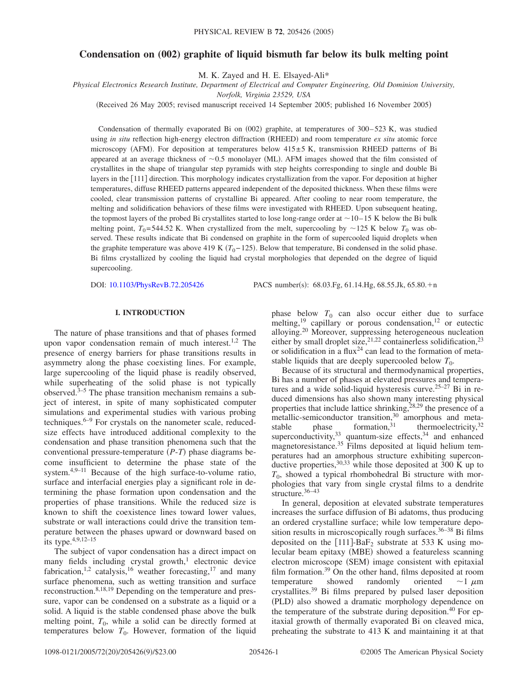# **Condensation on (002) graphite of liquid bismuth far below its bulk melting point**

M. K. Zayed and H. E. Elsayed-Ali\*

*Physical Electronics Research Institute, Department of Electrical and Computer Engineering, Old Dominion University,*

*Norfolk, Virginia 23529, USA*

(Received 26 May 2005; revised manuscript received 14 September 2005; published 16 November 2005)

Condensation of thermally evaporated Bi on (002) graphite, at temperatures of 300–523 K, was studied using *in situ* reflection high-energy electron diffraction (RHEED) and room temperature *ex situ* atomic force microscopy (AFM). For deposition at temperatures below 415±5 K, transmission RHEED patterns of Bi appeared at an average thickness of  $\sim 0.5$  monolayer (ML). AFM images showed that the film consisted of crystallites in the shape of triangular step pyramids with step heights corresponding to single and double Bi layers in the [111] direction. This morphology indicates crystallization from the vapor. For deposition at higher temperatures, diffuse RHEED patterns appeared independent of the deposited thickness. When these films were cooled, clear transmission patterns of crystalline Bi appeared. After cooling to near room temperature, the melting and solidification behaviors of these films were investigated with RHEED. Upon subsequent heating, the topmost layers of the probed Bi crystallites started to lose long-range order at  $\sim$ 10–15 K below the Bi bulk melting point,  $T_0$ =544.52 K. When crystallized from the melt, supercooling by ~125 K below  $T_0$  was observed. These results indicate that Bi condensed on graphite in the form of supercooled liquid droplets when the graphite temperature was above 419 K  $(T_0 - 125)$ . Below that temperature, Bi condensed in the solid phase. Bi films crystallized by cooling the liquid had crystal morphologies that depended on the degree of liquid supercooling.

DOI: [10.1103/PhysRevB.72.205426](http://dx.doi.org/10.1103/PhysRevB.72.205426)

PACS number(s):  $68.03.Fg, 61.14.Hg, 68.55.Jk, 65.80.+n$ 

## **I. INTRODUCTION**

The nature of phase transitions and that of phases formed upon vapor condensation remain of much interest.<sup>1,2</sup> The presence of energy barriers for phase transitions results in asymmetry along the phase coexisting lines. For example, large supercooling of the liquid phase is readily observed, while superheating of the solid phase is not typically observed. $3-5$  The phase transition mechanism remains a subject of interest, in spite of many sophisticated computer simulations and experimental studies with various probing techniques. $6-9$  For crystals on the nanometer scale, reducedsize effects have introduced additional complexity to the condensation and phase transition phenomena such that the conventional pressure-temperature (P-T) phase diagrams become insufficient to determine the phase state of the system.4,9–11 Because of the high surface-to-volume ratio, surface and interfacial energies play a significant role in determining the phase formation upon condensation and the properties of phase transitions. While the reduced size is known to shift the coexistence lines toward lower values, substrate or wall interactions could drive the transition temperature between the phases upward or downward based on its type.4,9,12–15

The subject of vapor condensation has a direct impact on many fields including crystal growth, $1$  electronic device fabrication,<sup>1,2</sup> catalysis,<sup>16</sup> weather forecasting,<sup>17</sup> and many surface phenomena, such as wetting transition and surface reconstruction.8,18,19 Depending on the temperature and pressure, vapor can be condensed on a substrate as a liquid or a solid. A liquid is the stable condensed phase above the bulk melting point,  $T_0$ , while a solid can be directly formed at temperatures below  $T_0$ . However, formation of the liquid

phase below  $T_0$  can also occur either due to surface melting,<sup>19</sup> capillary or porous condensation,<sup>12</sup> or eutectic alloying.<sup>20</sup> Moreover, suppressing heterogeneous nucleation either by small droplet size,  $2^{1,22}$  containerless solidification,  $2^{3}$ or solidification in a flux<sup>24</sup> can lead to the formation of metastable liquids that are deeply supercooled below  $T_0$ .

Because of its structural and thermodynamical properties, Bi has a number of phases at elevated pressures and temperatures and a wide solid-liquid hysteresis curve.25–27 Bi in reduced dimensions has also shown many interesting physical properties that include lattice shrinking,  $28,29$  the presence of a metallic-semiconductor transition,<sup>30</sup> amorphous and metastable phase formation,  $31$  thermoelectricity,  $32$ superconductivity,  $33$  quantum-size effects,  $34$  and enhanced magnetoresistance.<sup>35</sup> Films deposited at liquid helium temperatures had an amorphous structure exhibiting superconductive properties,  $30,33$  while those deposited at  $300 \text{ K}$  up to  $T_0$ , showed a typical rhombohedral Bi structure with morphologies that vary from single crystal films to a dendrite structure.<sup>36–43</sup>

In general, deposition at elevated substrate temperatures increases the surface diffusion of Bi adatoms, thus producing an ordered crystalline surface; while low temperature deposition results in microscopically rough surfaces.<sup>36-38</sup> Bi films deposited on the  $[111]$ -BaF<sub>2</sub> substrate at 533 K using molecular beam epitaxy (MBE) showed a featureless scanning electron microscope (SEM) image consistent with epitaxial film formation.<sup>39</sup> On the other hand, films deposited at room<br>temperature showed randomly oriented  $\sim 1 \mu m$ temperature showed  $\sim$ 1  $\mu$ m crystallites.39 Bi films prepared by pulsed laser deposition (PLD) also showed a dramatic morphology dependence on the temperature of the substrate during deposition.<sup>40</sup> For epitaxial growth of thermally evaporated Bi on cleaved mica, preheating the substrate to 413 K and maintaining it at that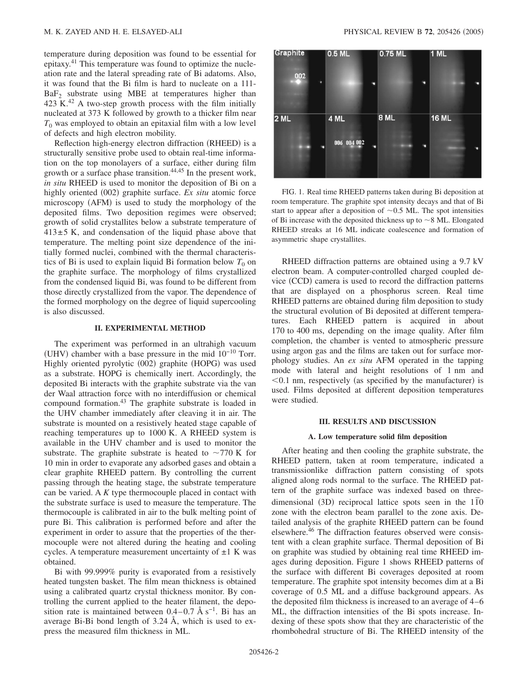temperature during deposition was found to be essential for epitaxy.<sup>41</sup> This temperature was found to optimize the nucleation rate and the lateral spreading rate of Bi adatoms. Also, it was found that the Bi film is hard to nucleate on a 111-  $BaF<sub>2</sub>$  substrate using MBE at temperatures higher than 423 K.<sup>42</sup> A two-step growth process with the film initially nucleated at 373 K followed by growth to a thicker film near  $T_0$  was employed to obtain an epitaxial film with a low level of defects and high electron mobility.

Reflection high-energy electron diffraction (RHEED) is a structurally sensitive probe used to obtain real-time information on the top monolayers of a surface, either during film growth or a surface phase transition.<sup>44,45</sup> In the present work, *in situ* RHEED is used to monitor the deposition of Bi on a highly oriented (002) graphite surface. *Ex situ* atomic force microscopy (AFM) is used to study the morphology of the deposited films. Two deposition regimes were observed; growth of solid crystallites below a substrate temperature of  $413\pm5$  K, and condensation of the liquid phase above that temperature. The melting point size dependence of the initially formed nuclei, combined with the thermal characteristics of Bi is used to explain liquid Bi formation below  $T_0$  on the graphite surface. The morphology of films crystallized from the condensed liquid Bi, was found to be different from those directly crystallized from the vapor. The dependence of the formed morphology on the degree of liquid supercooling is also discussed.

#### **II. EXPERIMENTAL METHOD**

The experiment was performed in an ultrahigh vacuum (UHV) chamber with a base pressure in the mid  $10^{-10}$  Torr. Highly oriented pyrolytic (002) graphite (HOPG) was used as a substrate. HOPG is chemically inert. Accordingly, the deposited Bi interacts with the graphite substrate via the van der Waal attraction force with no interdiffusion or chemical compound formation.43 The graphite substrate is loaded in the UHV chamber immediately after cleaving it in air. The substrate is mounted on a resistively heated stage capable of reaching temperatures up to 1000 K. A RHEED system is available in the UHV chamber and is used to monitor the substrate. The graphite substrate is heated to  $\sim$ 770 K for 10 min in order to evaporate any adsorbed gases and obtain a clear graphite RHEED pattern. By controlling the current passing through the heating stage, the substrate temperature can be varied. A *K* type thermocouple placed in contact with the substrate surface is used to measure the temperature. The thermocouple is calibrated in air to the bulk melting point of pure Bi. This calibration is performed before and after the experiment in order to assure that the properties of the thermocouple were not altered during the heating and cooling cycles. A temperature measurement uncertainty of  $\pm 1$  K was obtained.

Bi with 99.999% purity is evaporated from a resistively heated tungsten basket. The film mean thickness is obtained using a calibrated quartz crystal thickness monitor. By controlling the current applied to the heater filament, the deposition rate is maintained between  $0.4-0.7 \text{ Å s}^{-1}$ . Bi has an average Bi-Bi bond length of 3.24 Å, which is used to express the measured film thickness in ML.



FIG. 1. Real time RHEED patterns taken during Bi deposition at room temperature. The graphite spot intensity decays and that of Bi start to appear after a deposition of  $\sim 0.5$  ML. The spot intensities of Bi increase with the deposited thickness up to  $\sim$  8 ML. Elongated RHEED streaks at 16 ML indicate coalescence and formation of asymmetric shape crystallites.

RHEED diffraction patterns are obtained using a 9.7 kV electron beam. A computer-controlled charged coupled device (CCD) camera is used to record the diffraction patterns that are displayed on a phosphorus screen. Real time RHEED patterns are obtained during film deposition to study the structural evolution of Bi deposited at different temperatures. Each RHEED pattern is acquired in about 170 to 400 ms, depending on the image quality. After film completion, the chamber is vented to atmospheric pressure using argon gas and the films are taken out for surface morphology studies. An *ex situ* AFM operated in the tapping mode with lateral and height resolutions of 1 nm and  $<$  0.1 nm, respectively (as specified by the manufacturer) is used. Films deposited at different deposition temperatures were studied.

#### **III. RESULTS AND DISCUSSION**

#### **A. Low temperature solid film deposition**

After heating and then cooling the graphite substrate, the RHEED pattern, taken at room temperature, indicated a transmissionlike diffraction pattern consisting of spots aligned along rods normal to the surface. The RHEED pattern of the graphite surface was indexed based on threedimensional (3D) reciprocal lattice spots seen in the 1<sup>1</sup><sup>0</sup> zone with the electron beam parallel to the zone axis. Detailed analysis of the graphite RHEED pattern can be found elsewhere.<sup>46</sup> The diffraction features observed were consistent with a clean graphite surface. Thermal deposition of Bi on graphite was studied by obtaining real time RHEED images during deposition. Figure 1 shows RHEED patterns of the surface with different Bi coverages deposited at room temperature. The graphite spot intensity becomes dim at a Bi coverage of 0.5 ML and a diffuse background appears. As the deposited film thickness is increased to an average of 4–6 ML, the diffraction intensities of the Bi spots increase. Indexing of these spots show that they are characteristic of the rhombohedral structure of Bi. The RHEED intensity of the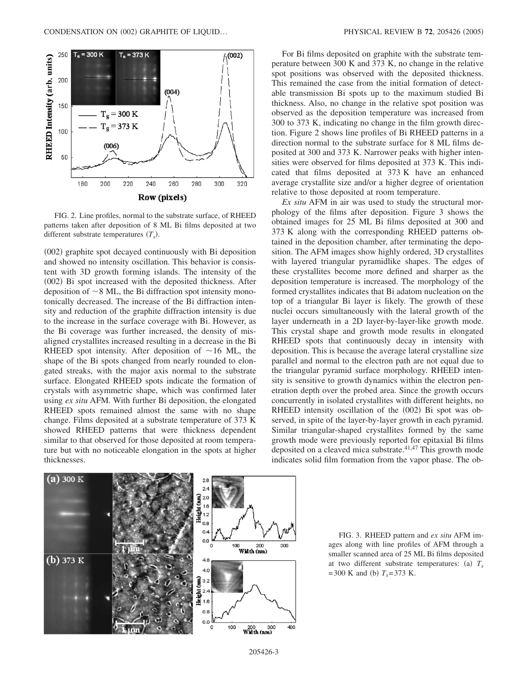

FIG. 2. Line profiles, normal to the substrate surface, of RHEED patterns taken after deposition of 8 ML Bi films deposited at two different substrate temperatures  $(T<sub>s</sub>)$ .

(002) graphite spot decayed continuously with Bi deposition and showed no intensity oscillation. This behavior is consistent with 3D growth forming islands. The intensity of the (002) Bi spot increased with the deposited thickness. After deposition of  $\sim$  8 ML, the Bi diffraction spot intensity monotonically decreased. The increase of the Bi diffraction intensity and reduction of the graphite diffraction intensity is due to the increase in the surface coverage with Bi. However, as the Bi coverage was further increased, the density of misaligned crystallites increased resulting in a decrease in the Bi RHEED spot intensity. After deposition of  $\sim$ 16 ML, the shape of the Bi spots changed from nearly rounded to elongated streaks, with the major axis normal to the substrate surface. Elongated RHEED spots indicate the formation of crystals with asymmetric shape, which was confirmed later using *ex situ* AFM. With further Bi deposition, the elongated RHEED spots remained almost the same with no shape change. Films deposited at a substrate temperature of 373 K showed RHEED patterns that were thickness dependent similar to that observed for those deposited at room temperature but with no noticeable elongation in the spots at higher thicknesses.

For Bi films deposited on graphite with the substrate temperature between 300 K and 373 K, no change in the relative spot positions was observed with the deposited thickness. This remained the case from the initial formation of detectable transmission Bi spots up to the maximum studied Bi thickness. Also, no change in the relative spot position was observed as the deposition temperature was increased from 300 to 373 K, indicating no change in the film growth direction. Figure 2 shows line profiles of Bi RHEED patterns in a direction normal to the substrate surface for 8 ML films deposited at 300 and 373 K. Narrower peaks with higher intensities were observed for films deposited at 373 K. This indicated that films deposited at 373 K have an enhanced average crystallite size and/or a higher degree of orientation relative to those deposited at room temperature.

*Ex situ* AFM in air was used to study the structural morphology of the films after deposition. Figure 3 shows the obtained images for 25 ML Bi films deposited at 300 and 373 K along with the corresponding RHEED patterns obtained in the deposition chamber, after terminating the deposition. The AFM images show highly ordered, 3D crystallites with layered triangular pyramidlike shapes. The edges of these crystallites become more defined and sharper as the deposition temperature is increased. The morphology of the formed crystallites indicates that Bi adatom nucleation on the top of a triangular Bi layer is likely. The growth of these nuclei occurs simultaneously with the lateral growth of the layer underneath in a 2D layer-by-layer-like growth mode. This crystal shape and growth mode results in elongated RHEED spots that continuously decay in intensity with deposition. This is because the average lateral crystalline size parallel and normal to the electron path are not equal due to the triangular pyramid surface morphology. RHEED intensity is sensitive to growth dynamics within the electron penetration depth over the probed area. Since the growth occurs concurrently in isolated crystallites with different heights, no RHEED intensity oscillation of the (002) Bi spot was observed, in spite of the layer-by-layer growth in each pyramid. Similar triangular-shaped crystallites formed by the same growth mode were previously reported for epitaxial Bi films deposited on a cleaved mica substrate. $41,47$  This growth mode indicates solid film formation from the vapor phase. The ob-



FIG. 3. RHEED pattern and *ex situ* AFM images along with line profiles of AFM through a smaller scanned area of 25 ML Bi films deposited at two different substrate temperatures: (a)  $T_s$  $=$  300 K and (b)  $T_s = 373$  K.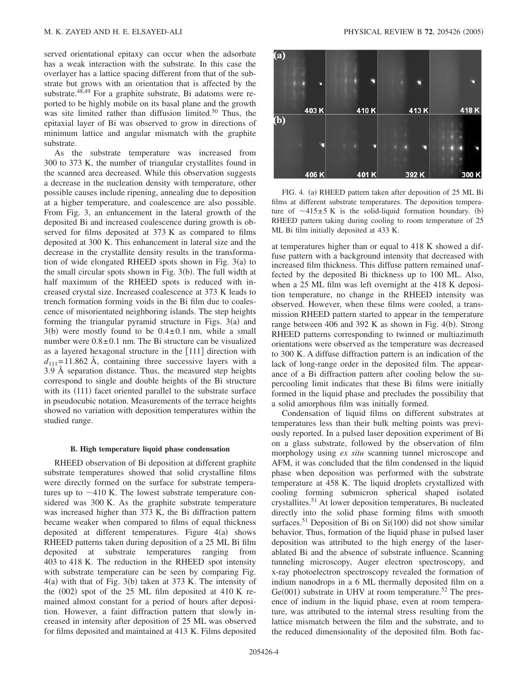served orientational epitaxy can occur when the adsorbate has a weak interaction with the substrate. In this case the overlayer has a lattice spacing different from that of the substrate but grows with an orientation that is affected by the substrate.<sup>48,49</sup> For a graphite substrate, Bi adatoms were reported to be highly mobile on its basal plane and the growth was site limited rather than diffusion limited.<sup>50</sup> Thus, the epitaxial layer of Bi was observed to grow in directions of minimum lattice and angular mismatch with the graphite substrate.

As the substrate temperature was increased from 300 to 373 K, the number of triangular crystallites found in the scanned area decreased. While this observation suggests a decrease in the nucleation density with temperature, other possible causes include ripening, annealing due to deposition at a higher temperature, and coalescence are also possible. From Fig. 3, an enhancement in the lateral growth of the deposited Bi and increased coalescence during growth is observed for films deposited at 373 K as compared to films deposited at 300 K. This enhancement in lateral size and the decrease in the crystallite density results in the transformation of wide elongated RHEED spots shown in Fig. 3(a) to the small circular spots shown in Fig. 3(b). The full width at half maximum of the RHEED spots is reduced with increased crystal size. Increased coalescence at 373 K leads to trench formation forming voids in the Bi film due to coalescence of misorientated neighboring islands. The step heights forming the triangular pyramid structure in Figs.  $3(a)$  and  $3(b)$  were mostly found to be  $0.4 \pm 0.1$  nm, while a small number were  $0.8 \pm 0.1$  nm. The Bi structure can be visualized as a layered hexagonal structure in the  $[111]$  direction with  $d_{111}=11.862$  Å, containing three successive layers with a 3.9 Å separation distance. Thus, the measured step heights correspond to single and double heights of the Bi structure with its (111) facet oriented parallel to the substrate surface in pseudocubic notation. Measurements of the terrace heights showed no variation with deposition temperatures within the studied range.

#### **B. High temperature liquid phase condensation**

RHEED observation of Bi deposition at different graphite substrate temperatures showed that solid crystalline films were directly formed on the surface for substrate temperatures up to  $\sim$ 410 K. The lowest substrate temperature considered was 300 K. As the graphite substrate temperature was increased higher than 373 K, the Bi diffraction pattern became weaker when compared to films of equal thickness deposited at different temperatures. Figure  $4(a)$  shows RHEED patterns taken during deposition of a 25 ML Bi film deposited at substrate temperatures ranging from 403 to 418 K. The reduction in the RHEED spot intensity with substrate temperature can be seen by comparing Fig.  $4(a)$  with that of Fig. 3(b) taken at 373 K. The intensity of the  $(002)$  spot of the 25 ML film deposited at 410 K remained almost constant for a period of hours after deposition. However, a faint diffraction pattern that slowly increased in intensity after deposition of 25 ML was observed for films deposited and maintained at 413 K. Films deposited



FIG. 4. (a) RHEED pattern taken after deposition of 25 ML Bi films at different substrate temperatures. The deposition temperature of  $\sim$ 415 $\pm$ 5 K is the solid-liquid formation boundary. (b) RHEED pattern taking during cooling to room temperature of 25 ML Bi film initially deposited at 433 K.

at temperatures higher than or equal to 418 K showed a diffuse pattern with a background intensity that decreased with increased film thickness. This diffuse pattern remained unaffected by the deposited Bi thickness up to 100 ML. Also, when a 25 ML film was left overnight at the 418 K deposition temperature, no change in the RHEED intensity was observed. However, when these films were cooled, a transmission RHEED pattern started to appear in the temperature range between 406 and 392 K as shown in Fig. 4(b). Strong RHEED patterns corresponding to twinned or multiazimuth orientations were observed as the temperature was decreased to 300 K. A diffuse diffraction pattern is an indication of the lack of long-range order in the deposited film. The appearance of a Bi diffraction pattern after cooling below the supercooling limit indicates that these Bi films were initially formed in the liquid phase and precludes the possibility that a solid amorphous film was initially formed.

Condensation of liquid films on different substrates at temperatures less than their bulk melting points was previously reported. In a pulsed laser deposition experiment of Bi on a glass substrate, followed by the observation of film morphology using *ex situ* scanning tunnel microscope and AFM, it was concluded that the film condensed in the liquid phase when deposition was performed with the substrate temperature at 458 K. The liquid droplets crystallized with cooling forming submicron spherical shaped isolated crystallites.51 At lower deposition temperatures, Bi nucleated directly into the solid phase forming films with smooth surfaces.<sup>51</sup> Deposition of Bi on Si(100) did not show similar behavior. Thus, formation of the liquid phase in pulsed laser deposition was attributed to the high energy of the laserablated Bi and the absence of substrate influence. Scanning tunneling microscopy, Auger electron spectroscopy, and x-ray photoelectron spectroscopy revealed the formation of indium nanodrops in a 6 ML thermally deposited film on a  $Ge(001)$  substrate in UHV at room temperature.<sup>52</sup> The presence of indium in the liquid phase, even at room temperature, was attributed to the internal stress resulting from the lattice mismatch between the film and the substrate, and to the reduced dimensionality of the deposited film. Both fac-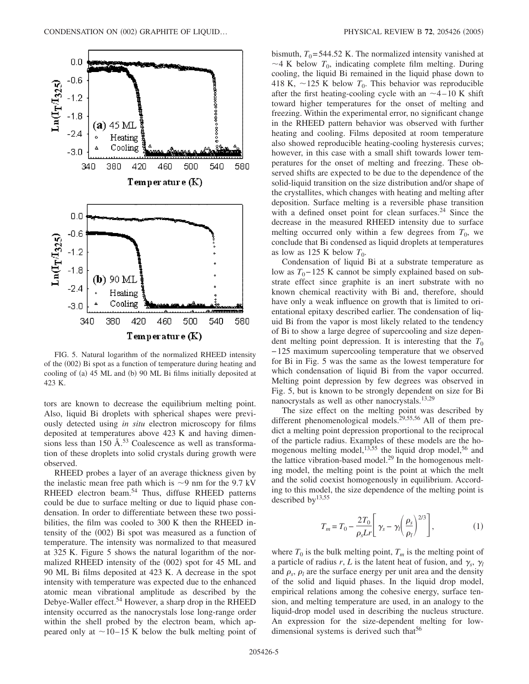

FIG. 5. Natural logarithm of the normalized RHEED intensity of the (002) Bi spot as a function of temperature during heating and cooling of (a) 45 ML and (b) 90 ML Bi films initially deposited at 423 K.

tors are known to decrease the equilibrium melting point. Also, liquid Bi droplets with spherical shapes were previously detected using *in situ* electron microscopy for films deposited at temperatures above 423 K and having dimensions less than  $150 \text{ Å}$ .<sup>53</sup> Coalescence as well as transformation of these droplets into solid crystals during growth were observed.

RHEED probes a layer of an average thickness given by the inelastic mean free path which is  $\sim$ 9 nm for the 9.7 kV RHEED electron beam.<sup>54</sup> Thus, diffuse RHEED patterns could be due to surface melting or due to liquid phase condensation. In order to differentiate between these two possibilities, the film was cooled to 300 K then the RHEED intensity of the (002) Bi spot was measured as a function of temperature. The intensity was normalized to that measured at 325 K. Figure 5 shows the natural logarithm of the normalized RHEED intensity of the (002) spot for 45 ML and 90 ML Bi films deposited at 423 K. A decrease in the spot intensity with temperature was expected due to the enhanced atomic mean vibrational amplitude as described by the Debye-Waller effect.54 However, a sharp drop in the RHEED intensity occurred as the nanocrystals lose long-range order within the shell probed by the electron beam, which appeared only at  $\sim$ 10–15 K below the bulk melting point of bismuth,  $T_0$ =544.52 K. The normalized intensity vanished at  $\sim$ 4 K below  $T_0$ , indicating complete film melting. During cooling, the liquid Bi remained in the liquid phase down to 418 K,  $\sim$ 125 K below  $T_0$ . This behavior was reproducible after the first heating-cooling cycle with an  $\sim$ 4–10 K shift toward higher temperatures for the onset of melting and freezing. Within the experimental error, no significant change in the RHEED pattern behavior was observed with further heating and cooling. Films deposited at room temperature also showed reproducible heating-cooling hysteresis curves; however, in this case with a small shift towards lower temperatures for the onset of melting and freezing. These observed shifts are expected to be due to the dependence of the solid-liquid transition on the size distribution and/or shape of the crystallites, which changes with heating and melting after deposition. Surface melting is a reversible phase transition with a defined onset point for clean surfaces.<sup>24</sup> Since the decrease in the measured RHEED intensity due to surface melting occurred only within a few degrees from  $T_0$ , we conclude that Bi condensed as liquid droplets at temperatures as low as 125 K below  $T_0$ .

Condensation of liquid Bi at a substrate temperature as low as  $T_0$ −125 K cannot be simply explained based on substrate effect since graphite is an inert substrate with no known chemical reactivity with Bi and, therefore, should have only a weak influence on growth that is limited to orientational epitaxy described earlier. The condensation of liquid Bi from the vapor is most likely related to the tendency of Bi to show a large degree of supercooling and size dependent melting point depression. It is interesting that the  $T_0$ −125 maximum supercooling temperature that we observed for Bi in Fig. 5 was the same as the lowest temperature for which condensation of liquid Bi from the vapor occurred. Melting point depression by few degrees was observed in Fig. 5, but is known to be strongly dependent on size for Bi nanocrystals as well as other nanocrystals.13,29

The size effect on the melting point was described by different phenomenological models.<sup>29,55,56</sup> All of them predict a melting point depression proportional to the reciprocal of the particle radius. Examples of these models are the homogenous melting model, $13,55$  the liquid drop model, $56$  and the lattice vibration-based model.29 In the homogenous melting model, the melting point is the point at which the melt and the solid coexist homogenously in equilibrium. According to this model, the size dependence of the melting point is described by13,55

$$
T_m = T_0 - \frac{2T_0}{\rho_s L r} \left[ \gamma_s - \gamma_l \left( \frac{\rho_s}{\rho_l} \right)^{2/3} \right],
$$
 (1)

where  $T_0$  is the bulk melting point,  $T_m$  is the melting point of a particle of radius *r*, *L* is the latent heat of fusion, and  $\gamma_s$ ,  $\gamma_l$ and  $\rho_s$ ,  $\rho_l$  are the surface energy per unit area and the density of the solid and liquid phases. In the liquid drop model, empirical relations among the cohesive energy, surface tension, and melting temperature are used, in an analogy to the liquid-drop model used in describing the nucleus structure. An expression for the size-dependent melting for lowdimensional systems is derived such that<sup>56</sup>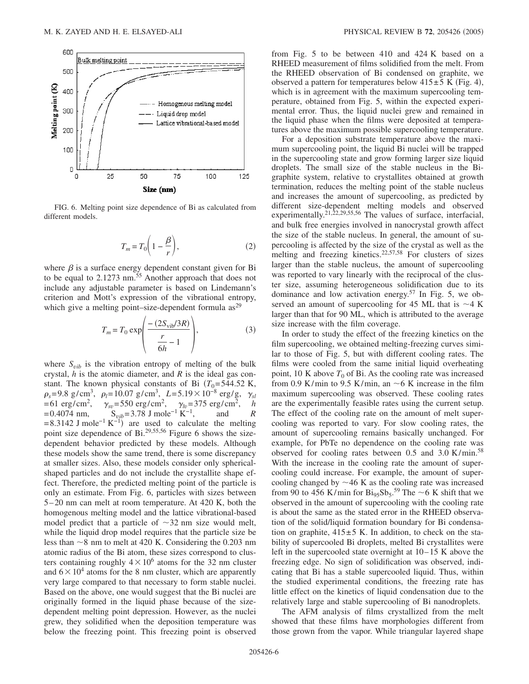

FIG. 6. Melting point size dependence of Bi as calculated from different models.

$$
T_m = T_0 \left( 1 - \frac{\beta}{r} \right),\tag{2}
$$

where  $\beta$  is a surface energy dependent constant given for Bi to be equal to  $2.1273$  nm.<sup>55</sup> Another approach that does not include any adjustable parameter is based on Lindemann's criterion and Mott's expression of the vibrational entropy, which give a melting point–size-dependent formula  $as<sup>29</sup>$ 

$$
T_m = T_0 \exp\left(\frac{-(2S_{\text{vib}}/3R)}{\frac{r}{6h} - 1}\right),\tag{3}
$$

where  $S_{vib}$  is the vibration entropy of melting of the bulk crystal, *h* is the atomic diameter, and *R* is the ideal gas constant. The known physical constants of Bi  $(T_0=544.52 \text{ K})$ ,  $\rho_s$ =9.8 g/cm<sup>3</sup>,  $\rho_l$ =10.07 g/cm<sup>3</sup>, L=5.19×10<sup>-8</sup> erg/g,  $\gamma_{sl}$  $=61 \text{ erg/cm}^2$ ,  $\gamma_{sv} = 550 \text{ erg/cm}^2$ ,  $\gamma_{lv} = 375 \text{ erg/cm}^2$ , *h*  $=0.4074$  nm,  $S_{vib}=3.78$  J mole<sup>-1</sup> K<sup>-1</sup>, and *R*  $= 8.3142$  J mole<sup>-1</sup> K<sup>-1</sup>) are used to calculate the melting point size dependence of  $Bi^{29,55,56}$  Figure 6 shows the sizedependent behavior predicted by these models. Although these models show the same trend, there is some discrepancy at smaller sizes. Also, these models consider only sphericalshaped particles and do not include the crystallite shape effect. Therefore, the predicted melting point of the particle is only an estimate. From Fig. 6, particles with sizes between 5–20 nm can melt at room temperature. At 420 K, both the homogenous melting model and the lattice vibrational-based model predict that a particle of  $\sim$ 32 nm size would melt, while the liquid drop model requires that the particle size be less than  $\sim$ 8 nm to melt at 420 K. Considering the 0.203 nm atomic radius of the Bi atom, these sizes correspond to clusters containing roughly  $4 \times 10^6$  atoms for the 32 nm cluster and  $6\times10^4$  atoms for the 8 nm cluster, which are apparently very large compared to that necessary to form stable nuclei. Based on the above, one would suggest that the Bi nuclei are originally formed in the liquid phase because of the sizedependent melting point depression. However, as the nuclei grew, they solidified when the deposition temperature was below the freezing point. This freezing point is observed from Fig. 5 to be between 410 and 424 K based on a RHEED measurement of films solidified from the melt. From the RHEED observation of Bi condensed on graphite, we observed a pattern for temperatures below  $415±5$  K (Fig. 4), which is in agreement with the maximum supercooling temperature, obtained from Fig. 5, within the expected experimental error. Thus, the liquid nuclei grew and remained in the liquid phase when the films were deposited at temperatures above the maximum possible supercooling temperature.

For a deposition substrate temperature above the maximum supercooling point, the liquid Bi nuclei will be trapped in the supercooling state and grow forming larger size liquid droplets. The small size of the stable nucleus in the Bigraphite system, relative to crystallites obtained at growth termination, reduces the melting point of the stable nucleus and increases the amount of supercooling, as predicted by different size-dependent melting models and observed experimentally.<sup>21,22,29,55,56</sup> The values of surface, interfacial, and bulk free energies involved in nanocrystal growth affect the size of the stable nucleus. In general, the amount of supercooling is affected by the size of the crystal as well as the melting and freezing kinetics.<sup>22,57,58</sup> For clusters of sizes larger than the stable nucleus, the amount of supercooling was reported to vary linearly with the reciprocal of the cluster size, assuming heterogeneous solidification due to its dominance and low activation energy.<sup>57</sup> In Fig. 5, we observed an amount of supercooling for 45 ML that is  $\sim$  4 K larger than that for 90 ML, which is attributed to the average size increase with the film coverage.

In order to study the effect of the freezing kinetics on the film supercooling, we obtained melting-freezing curves similar to those of Fig. 5, but with different cooling rates. The films were cooled from the same initial liquid overheating point, 10 K above  $T_0$  of Bi. As the cooling rate was increased from 0.9 K/min to 9.5 K/min, an  $\sim$  6 K increase in the film maximum supercooling was observed. These cooling rates are the experimentally feasible rates using the current setup. The effect of the cooling rate on the amount of melt supercooling was reported to vary. For slow cooling rates, the amount of supercooling remains basically unchanged. For example, for PbTe no dependence on the cooling rate was observed for cooling rates between  $0.5$  and  $3.0$  K/min.<sup>58</sup> With the increase in the cooling rate the amount of supercooling could increase. For example, the amount of supercooling changed by  $\sim$  46 K as the cooling rate was increased from 90 to 456 K/min for  $\text{Bi}_{95}\text{Sb}_5$ .<sup>59</sup> The  $\sim$  6 K shift that we observed in the amount of supercooling with the cooling rate is about the same as the stated error in the RHEED observation of the solid/liquid formation boundary for Bi condensation on graphite,  $415\pm5$  K. In addition, to check on the stability of supercooled Bi droplets, melted Bi crystallites were left in the supercooled state overnight at 10–15 K above the freezing edge. No sign of solidification was observed, indicating that Bi has a stable supercooled liquid. Thus, within the studied experimental conditions, the freezing rate has little effect on the kinetics of liquid condensation due to the relatively large and stable supercooling of Bi nanodroplets.

The AFM analysis of films crystallized from the melt showed that these films have morphologies different from those grown from the vapor. While triangular layered shape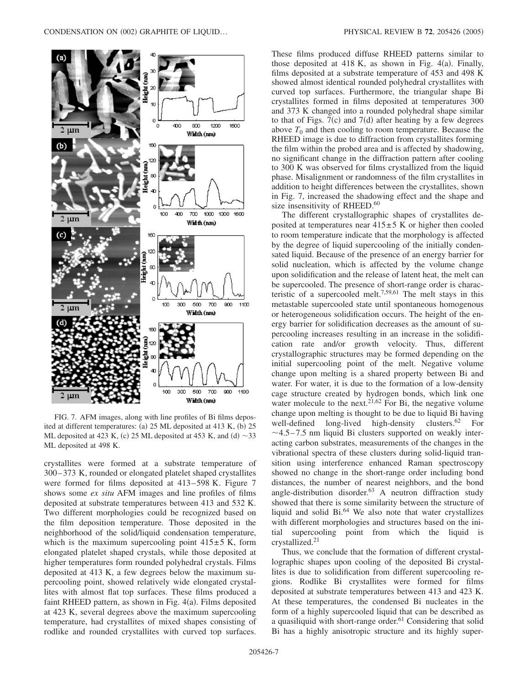

FIG. 7. AFM images, along with line profiles of Bi films deposited at different temperatures: (a) 25 ML deposited at 413 K, (b) 25 ML deposited at 423 K, (c) 25 ML deposited at 453 K, and (d)  $\sim$ 33 ML deposited at 498 K.

crystallites were formed at a substrate temperature of 300–373 K, rounded or elongated platelet shaped crystallites were formed for films deposited at 413–598 K. Figure 7 shows some *ex situ* AFM images and line profiles of films deposited at substrate temperatures between 413 and 532 K. Two different morphologies could be recognized based on the film deposition temperature. Those deposited in the neighborhood of the solid/liquid condensation temperature, which is the maximum supercooling point  $415±5$  K, form elongated platelet shaped crystals, while those deposited at higher temperatures form rounded polyhedral crystals. Films deposited at 413 K, a few degrees below the maximum supercooling point, showed relatively wide elongated crystallites with almost flat top surfaces. These films produced a faint RHEED pattern, as shown in Fig. 4(a). Films deposited at 423 K, several degrees above the maximum supercooling temperature, had crystallites of mixed shapes consisting of rodlike and rounded crystallites with curved top surfaces. These films produced diffuse RHEED patterns similar to those deposited at  $418$  K, as shown in Fig.  $4(a)$ . Finally, films deposited at a substrate temperature of 453 and 498 K showed almost identical rounded polyhedral crystallites with curved top surfaces. Furthermore, the triangular shape Bi crystallites formed in films deposited at temperatures 300 and 373 K changed into a rounded polyhedral shape similar to that of Figs.  $7(c)$  and  $7(d)$  after heating by a few degrees above  $T_0$  and then cooling to room temperature. Because the RHEED image is due to diffraction from crystallites forming the film within the probed area and is affected by shadowing, no significant change in the diffraction pattern after cooling to 300 K was observed for films crystallized from the liquid phase. Misalignment or randomness of the film crystallites in addition to height differences between the crystallites, shown in Fig. 7, increased the shadowing effect and the shape and size insensitivity of RHEED.<sup>60</sup>

The different crystallographic shapes of crystallites deposited at temperatures near  $415\pm5$  K or higher then cooled to room temperature indicate that the morphology is affected by the degree of liquid supercooling of the initially condensated liquid. Because of the presence of an energy barrier for solid nucleation, which is affected by the volume change upon solidification and the release of latent heat, the melt can be supercooled. The presence of short-range order is characteristic of a supercooled melt.<sup>7,59,61</sup> The melt stays in this metastable supercooled state until spontaneous homogenous or heterogeneous solidification occurs. The height of the energy barrier for solidification decreases as the amount of supercooling increases resulting in an increase in the solidification rate and/or growth velocity. Thus, different crystallographic structures may be formed depending on the initial supercooling point of the melt. Negative volume change upon melting is a shared property between Bi and water. For water, it is due to the formation of a low-density cage structure created by hydrogen bonds, which link one water molecule to the next.<sup>21,62</sup> For Bi, the negative volume change upon melting is thought to be due to liquid Bi having well-defined long-lived high-density clusters.62 For  $\sim$ 4.5–7.5 nm liquid Bi clusters supported on weakly interacting carbon substrates, measurements of the changes in the vibrational spectra of these clusters during solid-liquid transition using interference enhanced Raman spectroscopy showed no change in the short-range order including bond distances, the number of nearest neighbors, and the bond angle-distribution disorder.<sup>63</sup> A neutron diffraction study showed that there is some similarity between the structure of liquid and solid Bi.64 We also note that water crystallizes with different morphologies and structures based on the initial supercooling point from which the liquid is crystallized.21

Thus, we conclude that the formation of different crystallographic shapes upon cooling of the deposited Bi crystallites is due to solidification from different supercooling regions. Rodlike Bi crystallites were formed for films deposited at substrate temperatures between 413 and 423 K. At these temperatures, the condensed Bi nucleates in the form of a highly supercooled liquid that can be described as a quasiliquid with short-range order.<sup>61</sup> Considering that solid Bi has a highly anisotropic structure and its highly super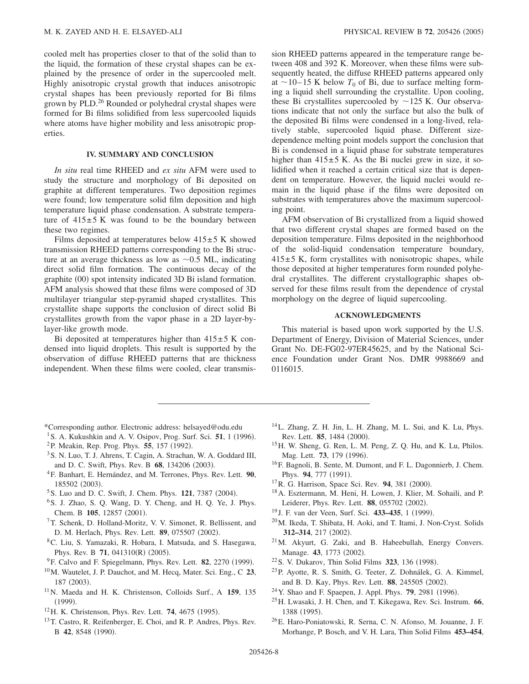cooled melt has properties closer to that of the solid than to the liquid, the formation of these crystal shapes can be explained by the presence of order in the supercooled melt. Highly anisotropic crystal growth that induces anisotropic crystal shapes has been previously reported for Bi films grown by PLD.26 Rounded or polyhedral crystal shapes were formed for Bi films solidified from less supercooled liquids where atoms have higher mobility and less anisotropic properties.

#### **IV. SUMMARY AND CONCLUSION**

*In situ* real time RHEED and *ex situ* AFM were used to study the structure and morphology of Bi deposited on graphite at different temperatures. Two deposition regimes were found; low temperature solid film deposition and high temperature liquid phase condensation. A substrate temperature of  $415\pm5$  K was found to be the boundary between these two regimes.

Films deposited at temperatures below  $415 \pm 5$  K showed transmission RHEED patterns corresponding to the Bi structure at an average thickness as low as  $\sim 0.5$  ML, indicating direct solid film formation. The continuous decay of the graphite (00) spot intensity indicated 3D Bi island formation. AFM analysis showed that these films were composed of 3D multilayer triangular step-pyramid shaped crystallites. This crystallite shape supports the conclusion of direct solid Bi crystallites growth from the vapor phase in a 2D layer-bylayer-like growth mode.

Bi deposited at temperatures higher than  $415±5$  K condensed into liquid droplets. This result is supported by the observation of diffuse RHEED patterns that are thickness independent. When these films were cooled, clear transmission RHEED patterns appeared in the temperature range between 408 and 392 K. Moreover, when these films were subsequently heated, the diffuse RHEED patterns appeared only at  $\sim$ 10–15 K below  $T_0$  of Bi, due to surface melting forming a liquid shell surrounding the crystallite. Upon cooling, these Bi crystallites supercooled by  $\sim$ 125 K. Our observations indicate that not only the surface but also the bulk of the deposited Bi films were condensed in a long-lived, relatively stable, supercooled liquid phase. Different sizedependence melting point models support the conclusion that Bi is condensed in a liquid phase for substrate temperatures higher than  $415\pm5$  K. As the Bi nuclei grew in size, it solidified when it reached a certain critical size that is dependent on temperature. However, the liquid nuclei would remain in the liquid phase if the films were deposited on substrates with temperatures above the maximum supercooling point.

AFM observation of Bi crystallized from a liquid showed that two different crystal shapes are formed based on the deposition temperature. Films deposited in the neighborhood of the solid-liquid condensation temperature boundary,  $415±5$  K, form crystallites with nonisotropic shapes, while those deposited at higher temperatures form rounded polyhedral crystallites. The different crystallographic shapes observed for these films result from the dependence of crystal morphology on the degree of liquid supercooling.

## **ACKNOWLEDGMENTS**

This material is based upon work supported by the U.S. Department of Energy, Division of Material Sciences, under Grant No. DE-FG02-97ER45625, and by the National Science Foundation under Grant Nos. DMR 9988669 and 0116015.

- \*Corresponding author. Electronic address: helsayed@odu.edu
- <sup>1</sup> S. A. Kukushkin and A. V. Osipov, Prog. Surf. Sci.  $51$ , 1 (1996).
- <sup>2</sup>P. Meakin, Rep. Prog. Phys. **55**, 157 (1992).
- 3S. N. Luo, T. J. Ahrens, T. Cagin, A. Strachan, W. A. Goddard III, and D. C. Swift, Phys. Rev. B 68, 134206 (2003).
- 4F. Banhart, E. Hernández, and M. Terrones, Phys. Rev. Lett. **90**, 185502 (2003).
- <sup>5</sup> S. Luo and D. C. Swift, J. Chem. Phys. **121**, 7387 (2004).
- <sup>6</sup>S. J. Zhao, S. Q. Wang, D. Y. Cheng, and H. Q. Ye, J. Phys. Chem. B 105, 12857 (2001).
- 7T. Schenk, D. Holland-Moritz, V. V. Simonet, R. Bellissent, and D. M. Herlach, Phys. Rev. Lett. 89, 075507 (2002).
- 8C. Liu, S. Yamazaki, R. Hobara, I. Matsuda, and S. Hasegawa, Phys. Rev. B 71, 041310(R) (2005).
- <sup>9</sup>F. Calvo and F. Spiegelmann, Phys. Rev. Lett. 82, 2270 (1999).
- 10M. Wautelet, J. P. Dauchot, and M. Hecq, Mater. Sci. Eng., C **23**, 187 (2003).
- 11N. Maeda and H. K. Christenson, Colloids Surf., A **159**, 135  $(1999).$
- <sup>12</sup>H. K. Christenson, Phys. Rev. Lett. **74**, 4675 (1995).
- <sup>13</sup>T. Castro, R. Reifenberger, E. Choi, and R. P. Andres, Phys. Rev. B 42, 8548 (1990).
- 14L. Zhang, Z. H. Jin, L. H. Zhang, M. L. Sui, and K. Lu, Phys. Rev. Lett. **85**, 1484 (2000).
- 15H. W. Sheng, G. Ren, L. M. Peng, Z. Q. Hu, and K. Lu, Philos. Mag. Lett. 73, 179 (1996).
- 16F. Bagnoli, B. Sente, M. Dumont, and F. L. Dagonnierb, J. Chem. Phys. 94, 777 (1991).
- <sup>17</sup> R. G. Harrison, Space Sci. Rev. **94**, 381 (2000).
- 18A. Esztermann, M. Heni, H. Lowen, J. Klier, M. Sohaili, and P. Leiderer, Phys. Rev. Lett. 88, 055702 (2002).
- <sup>19</sup> J. F. van der Veen, Surf. Sci. **433–435**, 1 (1999).
- 20M. Ikeda, T. Shibata, H. Aoki, and T. Itami, J. Non-Cryst. Solids 312-314, 217 (2002).
- 21M. Akyurt, G. Zaki, and B. Habeebullah, Energy Convers. Manage. 43, 1773 (2002).
- <sup>22</sup> S. V. Dukarov, Thin Solid Films **323**, 136 (1998).
- 23P. Ayotte, R. S. Smith, G. Teeter, Z. Dohnálek, G. A. Kimmel, and B. D. Kay, Phys. Rev. Lett. 88, 245505 (2002).
- <sup>24</sup> Y. Shao and F. Spaepen, J. Appl. Phys. **79**, 2981 (1996).
- 25H. Lwasaki, J. H. Chen, and T. Kikegawa, Rev. Sci. Instrum. **66**, 1388 (1995).
- 26E. Haro-Poniatowski, R. Serna, C. N. Afonso, M. Jouanne, J. F. Morhange, P. Bosch, and V. H. Lara, Thin Solid Films **453–454**,